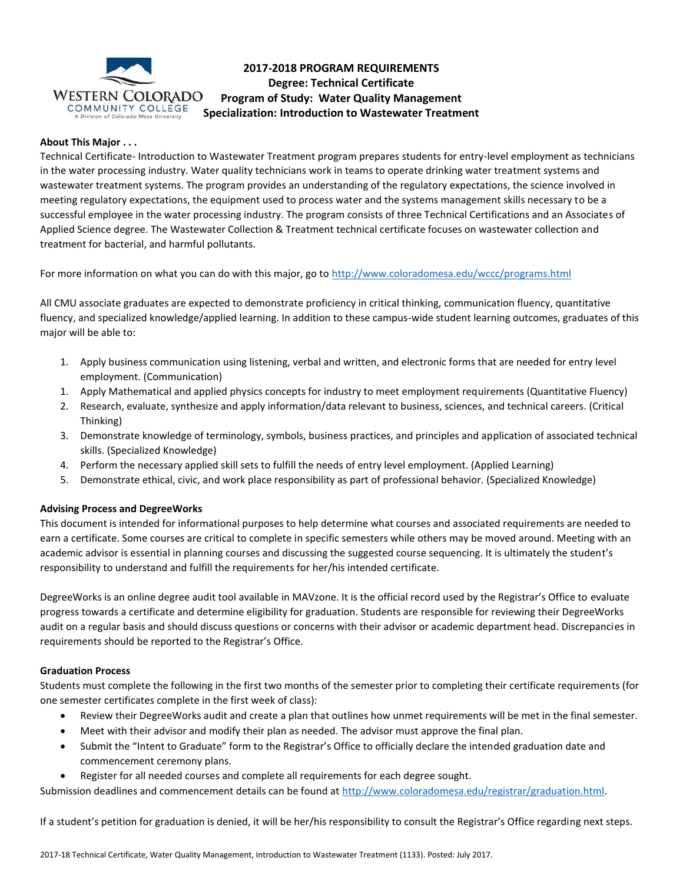

# **2017-2018 PROGRAM REQUIREMENTS Degree: Technical Certificate Program of Study: Water Quality Management Specialization: Introduction to Wastewater Treatment**

# **About This Major . . .**

Technical Certificate- Introduction to Wastewater Treatment program prepares students for entry-level employment as technicians in the water processing industry. Water quality technicians work in teams to operate drinking water treatment systems and wastewater treatment systems. The program provides an understanding of the regulatory expectations, the science involved in meeting regulatory expectations, the equipment used to process water and the systems management skills necessary to be a successful employee in the water processing industry. The program consists of three Technical Certifications and an Associates of Applied Science degree. The Wastewater Collection & Treatment technical certificate focuses on wastewater collection and treatment for bacterial, and harmful pollutants.

For more information on what you can do with this major, go to<http://www.coloradomesa.edu/wccc/programs.html>

All CMU associate graduates are expected to demonstrate proficiency in critical thinking, communication fluency, quantitative fluency, and specialized knowledge/applied learning. In addition to these campus-wide student learning outcomes, graduates of this major will be able to:

- 1. Apply business communication using listening, verbal and written, and electronic forms that are needed for entry level employment. (Communication)
- 1. Apply Mathematical and applied physics concepts for industry to meet employment requirements (Quantitative Fluency)
- 2. Research, evaluate, synthesize and apply information/data relevant to business, sciences, and technical careers. (Critical Thinking)
- 3. Demonstrate knowledge of terminology, symbols, business practices, and principles and application of associated technical skills. (Specialized Knowledge)
- 4. Perform the necessary applied skill sets to fulfill the needs of entry level employment. (Applied Learning)
- 5. Demonstrate ethical, civic, and work place responsibility as part of professional behavior. (Specialized Knowledge)

# **Advising Process and DegreeWorks**

This document is intended for informational purposes to help determine what courses and associated requirements are needed to earn a certificate. Some courses are critical to complete in specific semesters while others may be moved around. Meeting with an academic advisor is essential in planning courses and discussing the suggested course sequencing. It is ultimately the student's responsibility to understand and fulfill the requirements for her/his intended certificate.

DegreeWorks is an online degree audit tool available in MAVzone. It is the official record used by the Registrar's Office to evaluate progress towards a certificate and determine eligibility for graduation. Students are responsible for reviewing their DegreeWorks audit on a regular basis and should discuss questions or concerns with their advisor or academic department head. Discrepancies in requirements should be reported to the Registrar's Office.

#### **Graduation Process**

Students must complete the following in the first two months of the semester prior to completing their certificate requirements (for one semester certificates complete in the first week of class):

- Review their DegreeWorks audit and create a plan that outlines how unmet requirements will be met in the final semester.
- Meet with their advisor and modify their plan as needed. The advisor must approve the final plan.
- Submit the "Intent to Graduate" form to the Registrar's Office to officially declare the intended graduation date and commencement ceremony plans.
- Register for all needed courses and complete all requirements for each degree sought.

Submission deadlines and commencement details can be found at [http://www.coloradomesa.edu/registrar/graduation.html.](http://www.coloradomesa.edu/registrar/graduation.html)

If a student's petition for graduation is denied, it will be her/his responsibility to consult the Registrar's Office regarding next steps.